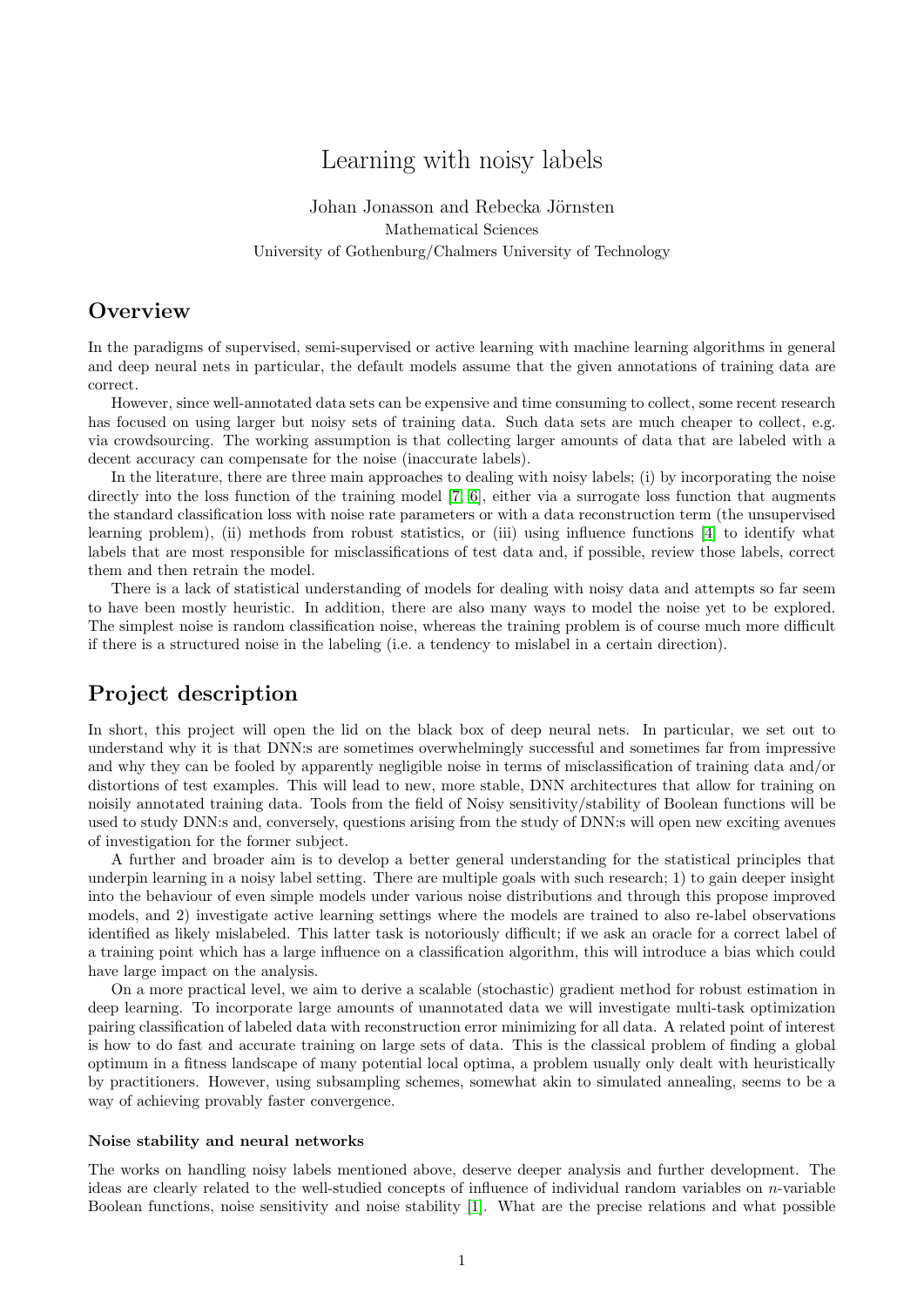# Learning with noisy labels

Johan Jonasson and Rebecka Jörnsten Mathematical Sciences University of Gothenburg/Chalmers University of Technology

## **Overview**

In the paradigms of supervised, semi-supervised or active learning with machine learning algorithms in general and deep neural nets in particular, the default models assume that the given annotations of training data are correct.

However, since well-annotated data sets can be expensive and time consuming to collect, some recent research has focused on using larger but noisy sets of training data. Such data sets are much cheaper to collect, e.g. via crowdsourcing. The working assumption is that collecting larger amounts of data that are labeled with a decent accuracy can compensate for the noise (inaccurate labels).

In the literature, there are three main approaches to dealing with noisy labels; (i) by incorporating the noise directly into the loss function of the training model [7, 6], either via a surrogate loss function that augments the standard classification loss with noise rate parameters or with a data reconstruction term (the unsupervised learning problem), (ii) methods from robust statistics, or (iii) using influence functions [4] to identify what labels that are most responsible for misclassifications of test data and, if possible, review those labels, correct them and then retrain the model.

There is a lack of statistical understanding of models for dealing with noisy data and attempts so far seem to have been mostly heuristic. In addition, there are also many ways to model the noise yet to be explored. The simplest noise is random classification noise, whereas the training problem is of course much more difficult if there is a structured noise in the labeling (i.e. a tendency to mislabel in a certain direction).

## Project description

In short, this project will open the lid on the black box of deep neural nets. In particular, we set out to understand why it is that DNN:s are sometimes overwhelmingly successful and sometimes far from impressive and why they can be fooled by apparently negligible noise in terms of misclassification of training data and/or distortions of test examples. This will lead to new, more stable, DNN architectures that allow for training on noisily annotated training data. Tools from the field of Noisy sensitivity/stability of Boolean functions will be used to study DNN:s and, conversely, questions arising from the study of DNN:s will open new exciting avenues of investigation for the former subject.

A further and broader aim is to develop a better general understanding for the statistical principles that underpin learning in a noisy label setting. There are multiple goals with such research; 1) to gain deeper insight into the behaviour of even simple models under various noise distributions and through this propose improved models, and 2) investigate active learning settings where the models are trained to also re-label observations identified as likely mislabeled. This latter task is notoriously difficult; if we ask an oracle for a correct label of a training point which has a large influence on a classification algorithm, this will introduce a bias which could have large impact on the analysis.

On a more practical level, we aim to derive a scalable (stochastic) gradient method for robust estimation in deep learning. To incorporate large amounts of unannotated data we will investigate multi-task optimization pairing classification of labeled data with reconstruction error minimizing for all data. A related point of interest is how to do fast and accurate training on large sets of data. This is the classical problem of finding a global optimum in a fitness landscape of many potential local optima, a problem usually only dealt with heuristically by practitioners. However, using subsampling schemes, somewhat akin to simulated annealing, seems to be a way of achieving provably faster convergence.

#### Noise stability and neural networks

The works on handling noisy labels mentioned above, deserve deeper analysis and further development. The ideas are clearly related to the well-studied concepts of influence of individual random variables on n-variable Boolean functions, noise sensitivity and noise stability [1]. What are the precise relations and what possible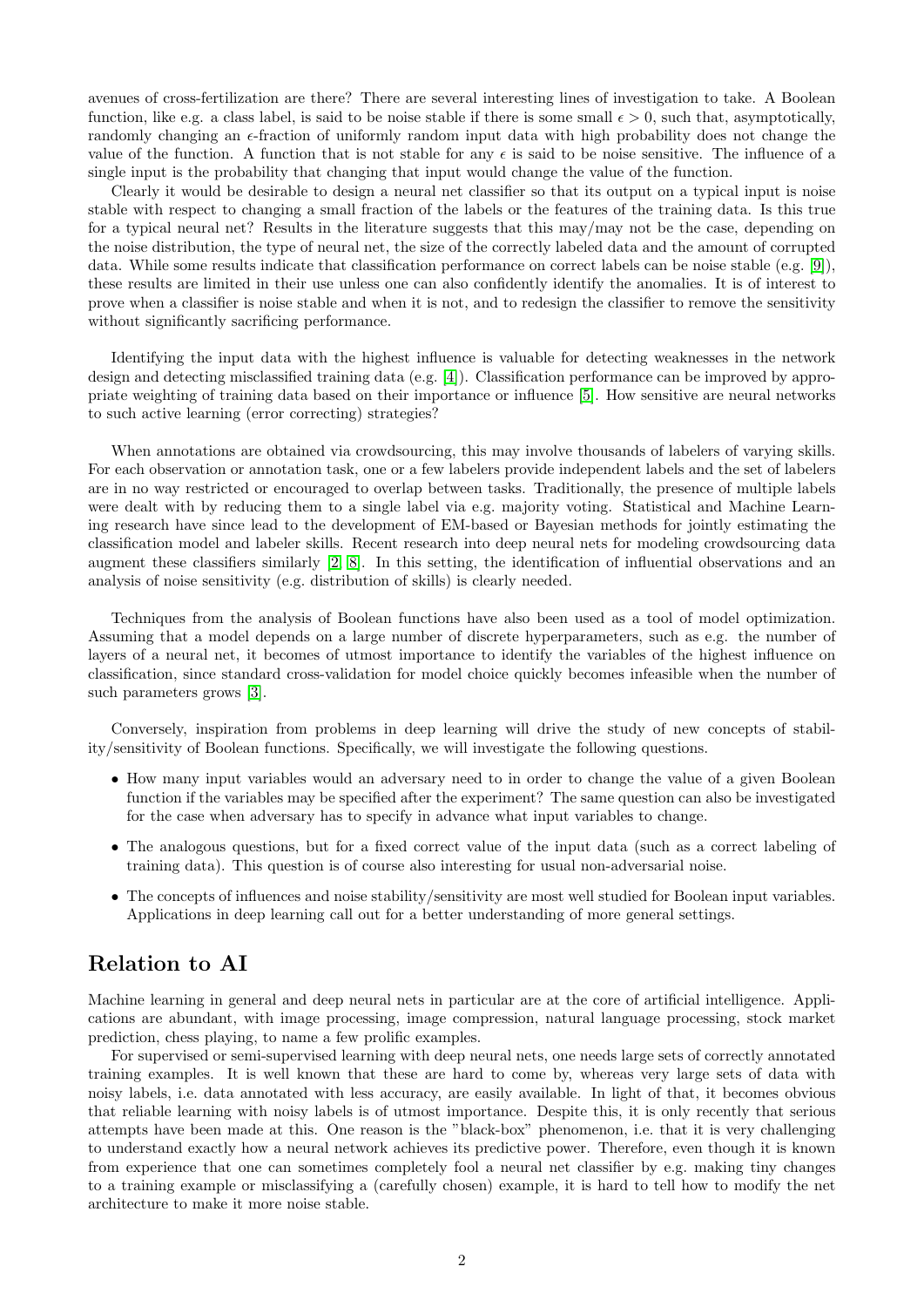avenues of cross-fertilization are there? There are several interesting lines of investigation to take. A Boolean function, like e.g. a class label, is said to be noise stable if there is some small  $\epsilon > 0$ , such that, asymptotically, randomly changing an  $\epsilon$ -fraction of uniformly random input data with high probability does not change the value of the function. A function that is not stable for any  $\epsilon$  is said to be noise sensitive. The influence of a single input is the probability that changing that input would change the value of the function.

Clearly it would be desirable to design a neural net classifier so that its output on a typical input is noise stable with respect to changing a small fraction of the labels or the features of the training data. Is this true for a typical neural net? Results in the literature suggests that this may/may not be the case, depending on the noise distribution, the type of neural net, the size of the correctly labeled data and the amount of corrupted data. While some results indicate that classification performance on correct labels can be noise stable (e.g. [9]), these results are limited in their use unless one can also confidently identify the anomalies. It is of interest to prove when a classifier is noise stable and when it is not, and to redesign the classifier to remove the sensitivity without significantly sacrificing performance.

Identifying the input data with the highest influence is valuable for detecting weaknesses in the network design and detecting misclassified training data (e.g. [4]). Classification performance can be improved by appropriate weighting of training data based on their importance or influence [5]. How sensitive are neural networks to such active learning (error correcting) strategies?

When annotations are obtained via crowdsourcing, this may involve thousands of labelers of varying skills. For each observation or annotation task, one or a few labelers provide independent labels and the set of labelers are in no way restricted or encouraged to overlap between tasks. Traditionally, the presence of multiple labels were dealt with by reducing them to a single label via e.g. majority voting. Statistical and Machine Learning research have since lead to the development of EM-based or Bayesian methods for jointly estimating the classification model and labeler skills. Recent research into deep neural nets for modeling crowdsourcing data augment these classifiers similarly [2, 8]. In this setting, the identification of influential observations and an analysis of noise sensitivity (e.g. distribution of skills) is clearly needed.

Techniques from the analysis of Boolean functions have also been used as a tool of model optimization. Assuming that a model depends on a large number of discrete hyperparameters, such as e.g. the number of layers of a neural net, it becomes of utmost importance to identify the variables of the highest influence on classification, since standard cross-validation for model choice quickly becomes infeasible when the number of such parameters grows [3].

Conversely, inspiration from problems in deep learning will drive the study of new concepts of stability/sensitivity of Boolean functions. Specifically, we will investigate the following questions.

- How many input variables would an adversary need to in order to change the value of a given Boolean function if the variables may be specified after the experiment? The same question can also be investigated for the case when adversary has to specify in advance what input variables to change.
- The analogous questions, but for a fixed correct value of the input data (such as a correct labeling of training data). This question is of course also interesting for usual non-adversarial noise.
- The concepts of influences and noise stability/sensitivity are most well studied for Boolean input variables. Applications in deep learning call out for a better understanding of more general settings.

## Relation to AI

Machine learning in general and deep neural nets in particular are at the core of artificial intelligence. Applications are abundant, with image processing, image compression, natural language processing, stock market prediction, chess playing, to name a few prolific examples.

For supervised or semi-supervised learning with deep neural nets, one needs large sets of correctly annotated training examples. It is well known that these are hard to come by, whereas very large sets of data with noisy labels, i.e. data annotated with less accuracy, are easily available. In light of that, it becomes obvious that reliable learning with noisy labels is of utmost importance. Despite this, it is only recently that serious attempts have been made at this. One reason is the "black-box" phenomenon, i.e. that it is very challenging to understand exactly how a neural network achieves its predictive power. Therefore, even though it is known from experience that one can sometimes completely fool a neural net classifier by e.g. making tiny changes to a training example or misclassifying a (carefully chosen) example, it is hard to tell how to modify the net architecture to make it more noise stable.